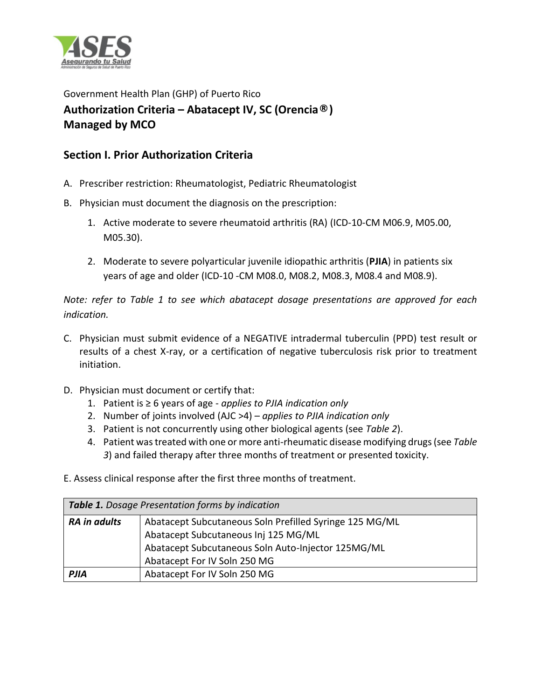

Government Health Plan (GHP) of Puerto Rico **Authorization Criteria – Abatacept IV, SC (Orencia®) Managed by MCO** 

## **Section I. Prior Authorization Criteria**

- A. Prescriber restriction: Rheumatologist, Pediatric Rheumatologist
- B. Physician must document the diagnosis on the prescription:
	- 1. Active moderate to severe rheumatoid arthritis (RA) (ICD-10-CM M06.9, M05.00, M05.30).
	- 2. Moderate to severe polyarticular juvenile idiopathic arthritis (**PJIA**) in patients six years of age and older (ICD-10 -CM M08.0, M08.2, M08.3, M08.4 and M08.9).

*Note: refer to Table 1 to see which abatacept dosage presentations are approved for each indication.* 

- C. Physician must submit evidence of a NEGATIVE intradermal tuberculin (PPD) test result or results of a chest X-ray, or a certification of negative tuberculosis risk prior to treatment initiation.
- D. Physician must document or certify that:
	- 1. Patient is ≥ 6 years of age *applies to PJIA indication only*
	- 2. Number of joints involved (AJC >4) *applies to PJIA indication only*
	- 3. Patient is not concurrently using other biological agents (see *Table 2*).
	- 4. Patient was treated with one or more anti-rheumatic disease modifying drugs (see *Table 3*) and failed therapy after three months of treatment or presented toxicity.
- E. Assess clinical response after the first three months of treatment.

| Table 1. Dosage Presentation forms by indication |                                                                                                 |  |
|--------------------------------------------------|-------------------------------------------------------------------------------------------------|--|
| <b>RA</b> in adults                              | Abatacept Subcutaneous Soln Prefilled Syringe 125 MG/ML<br>Abatacept Subcutaneous Inj 125 MG/ML |  |
|                                                  | Abatacept Subcutaneous Soln Auto-Injector 125MG/ML<br>Abatacept For IV Soln 250 MG              |  |
| <b>PJIA</b>                                      | Abatacept For IV Soln 250 MG                                                                    |  |